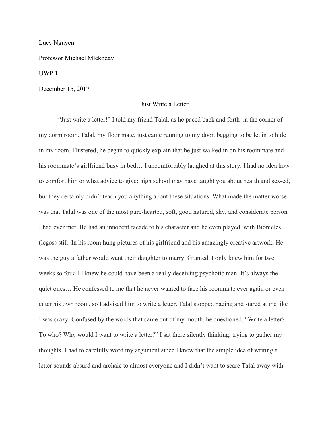Lucy Nguyen

Professor Michael Mlekoday

UWP 1

December 15, 2017

## Just Write a Letter

"Just write a letter!" I told my friend Talal, as he paced back and forth in the corner of my dorm room. Talal, my floor mate, just came running to my door, begging to be let in to hide in my room. Flustered, he began to quickly explain that he just walked in on his roommate and his roommate's girlfriend busy in bed... I uncomfortably laughed at this story. I had no idea how to comfort him or what advice to give; high school may have taught you about health and sex-ed, but they certainly didn't teach you anything about these situations. What made the matter worse was that Talal was one of the most pure-hearted, soft, good natured, shy, and considerate person I had ever met. He had an innocent facade to his character and he even played with Bionicles (legos) still. In his room hung pictures of his girlfriend and his amazingly creative artwork. He was the guy a father would want their daughter to marry. Granted, I only knew him for two weeks so for all I knew he could have been a really deceiving psychotic man. It's always the quiet ones… He confessed to me that he never wanted to face his roommate ever again or even enter his own room, so I advised him to write a letter. Talal stopped pacing and stared at me like I was crazy. Confused by the words that came out of my mouth, he questioned, "Write a letter? To who? Why would I want to write a letter?" I sat there silently thinking, trying to gather my thoughts. I had to carefully word my argument since I knew that the simple idea of writing a letter sounds absurd and archaic to almost everyone and I didn't want to scare Talal away with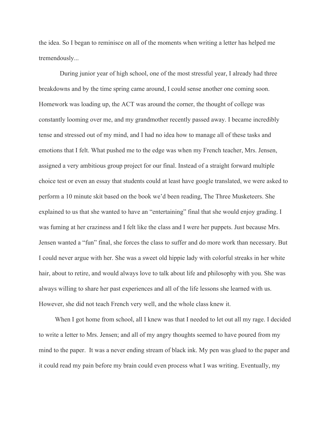the idea. So I began to reminisce on all of the moments when writing a letter has helped me tremendously...

 During junior year of high school, one of the most stressful year, I already had three breakdowns and by the time spring came around, I could sense another one coming soon. Homework was loading up, the ACT was around the corner, the thought of college was constantly looming over me, and my grandmother recently passed away. I became incredibly tense and stressed out of my mind, and I had no idea how to manage all of these tasks and emotions that I felt. What pushed me to the edge was when my French teacher, Mrs. Jensen, assigned a very ambitious group project for our final. Instead of a straight forward multiple choice test or even an essay that students could at least have google translated, we were asked to perform a 10 minute skit based on the book we'd been reading, The Three Musketeers. She explained to us that she wanted to have an "entertaining" final that she would enjoy grading. I was fuming at her craziness and I felt like the class and I were her puppets. Just because Mrs. Jensen wanted a "fun" final, she forces the class to suffer and do more work than necessary. But I could never argue with her. She was a sweet old hippie lady with colorful streaks in her white hair, about to retire, and would always love to talk about life and philosophy with you. She was always willing to share her past experiences and all of the life lessons she learned with us. However, she did not teach French very well, and the whole class knew it.

When I got home from school, all I knew was that I needed to let out all my rage. I decided to write a letter to Mrs. Jensen; and all of my angry thoughts seemed to have poured from my mind to the paper. It was a never ending stream of black ink. My pen was glued to the paper and it could read my pain before my brain could even process what I was writing. Eventually, my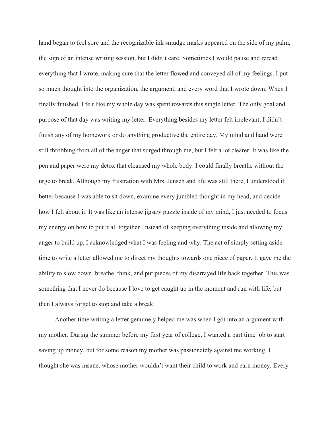hand began to feel sore and the recognizable ink smudge marks appeared on the side of my palm, the sign of an intense writing session, but I didn't care. Sometimes I would pause and reread everything that I wrote, making sure that the letter flowed and conveyed all of my feelings. I put so much thought into the organization, the argument, and every word that I wrote down. When I finally finished, I felt like my whole day was spent towards this single letter. The only goal and purpose of that day was writing my letter. Everything besides my letter felt irrelevant; I didn't finish any of my homework or do anything productive the entire day. My mind and hand were still throbbing from all of the anger that surged through me, but I felt a lot clearer. It was like the pen and paper were my detox that cleansed my whole body. I could finally breathe without the urge to break. Although my frustration with Mrs. Jensen and life was still there, I understood it better because I was able to sit down, examine every jumbled thought in my head, and decide how I felt about it. It was like an intense jigsaw puzzle inside of my mind, I just needed to focus my energy on how to put it all together. Instead of keeping everything inside and allowing my anger to build up, I acknowledged what I was feeling and why. The act of simply setting aside time to write a letter allowed me to direct my thoughts towards one piece of paper. It gave me the ability to slow down, breathe, think, and put pieces of my disarrayed life back together. This was something that I never do because I love to get caught up in the moment and run with life, but then I always forget to stop and take a break.

 Another time writing a letter genuinely helped me was when I got into an argument with my mother. During the summer before my first year of college, I wanted a part time job to start saving up money, but for some reason my mother was passionately against me working. I thought she was insane, whose mother wouldn't want their child to work and earn money. Every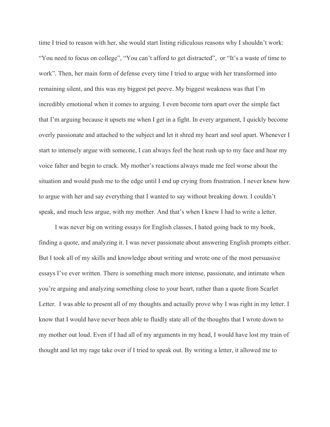time I tried to reason with her, she would start listing ridiculous reasons why I shouldn't work: "You need to focus on college", "You can't afford to get distracted", or "It's a waste of time to work". Then, her main form of defense every time I tried to argue with her transformed into remaining silent, and this was my biggest pet peeve. My biggest weakness was that I'm incredibly emotional when it comes to arguing. I even become torn apart over the simple fact that I'm arguing because it upsets me when I get in a fight. In every argument, I quickly become overly passionate and attached to the subject and let it shred my heart and soul apart. Whenever I start to intensely argue with someone, I can always feel the heat rush up to my face and hear my voice falter and begin to crack. My mother's reactions always made me feel worse about the situation and would push me to the edge until I end up crying from frustration. I never knew how to argue with her and say everything that I wanted to say without breaking down. I couldn't speak, and much less argue, with my mother. And that's when I knew I had to write a letter.

 I was never big on writing essays for English classes, I hated going back to my book, finding a quote, and analyzing it. I was never passionate about answering English prompts either. But I took all of my skills and knowledge about writing and wrote one of the most persuasive essays I've ever written. There is something much more intense, passionate, and intimate when you're arguing and analyzing something close to your heart, rather than a quote from Scarlet Letter. I was able to present all of my thoughts and actually prove why I was right in my letter. I know that I would have never been able to fluidly state all of the thoughts that I wrote down to my mother out loud. Even if I had all of my arguments in my head, I would have lost my train of thought and let my rage take over if I tried to speak out. By writing a letter, it allowed me to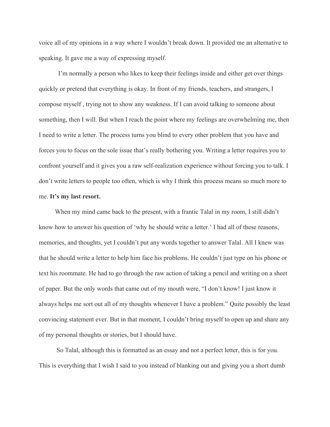voice all of my opinions in a way where I wouldn't break down. It provided me an alternative to speaking. It gave me a way of expressing myself.

I'm normally a person who likes to keep their feelings inside and either get over things quickly or pretend that everything is okay. In front of my friends, teachers, and strangers, I compose myself , trying not to show any weakness. If I can avoid talking to someone about something, then I will. But when I reach the point where my feelings are overwhelming me, then I need to write a letter. The process turns you blind to every other problem that you have and forces you to focus on the sole issue that's really bothering you. Writing a letter requires you to confront yourself and it gives you a raw self-realization experience without forcing you to talk. I don't write letters to people too often, which is why I think this process means so much more to me. **It's my last resort.**

When my mind came back to the present, with a frantic Talal in my room, I still didn't know how to answer his question of 'why he should write a letter.' I had all of these reasons, memories, and thoughts, yet I couldn't put any words together to answer Talal. All I knew was that he should write a letter to help him face his problems. He couldn't just type on his phone or text his roommate. He had to go through the raw action of taking a pencil and writing on a sheet of paper. But the only words that came out of my mouth were, "I don't know! I just know it always helps me sort out all of my thoughts whenever I have a problem." Quite possibly the least convincing statement ever. But in that moment, I couldn't bring myself to open up and share any of my personal thoughts or stories, but I should have.

 So Talal, although this is formatted as an essay and not a perfect letter, this is for you. This is everything that I wish I said to you instead of blanking out and giving you a short dumb